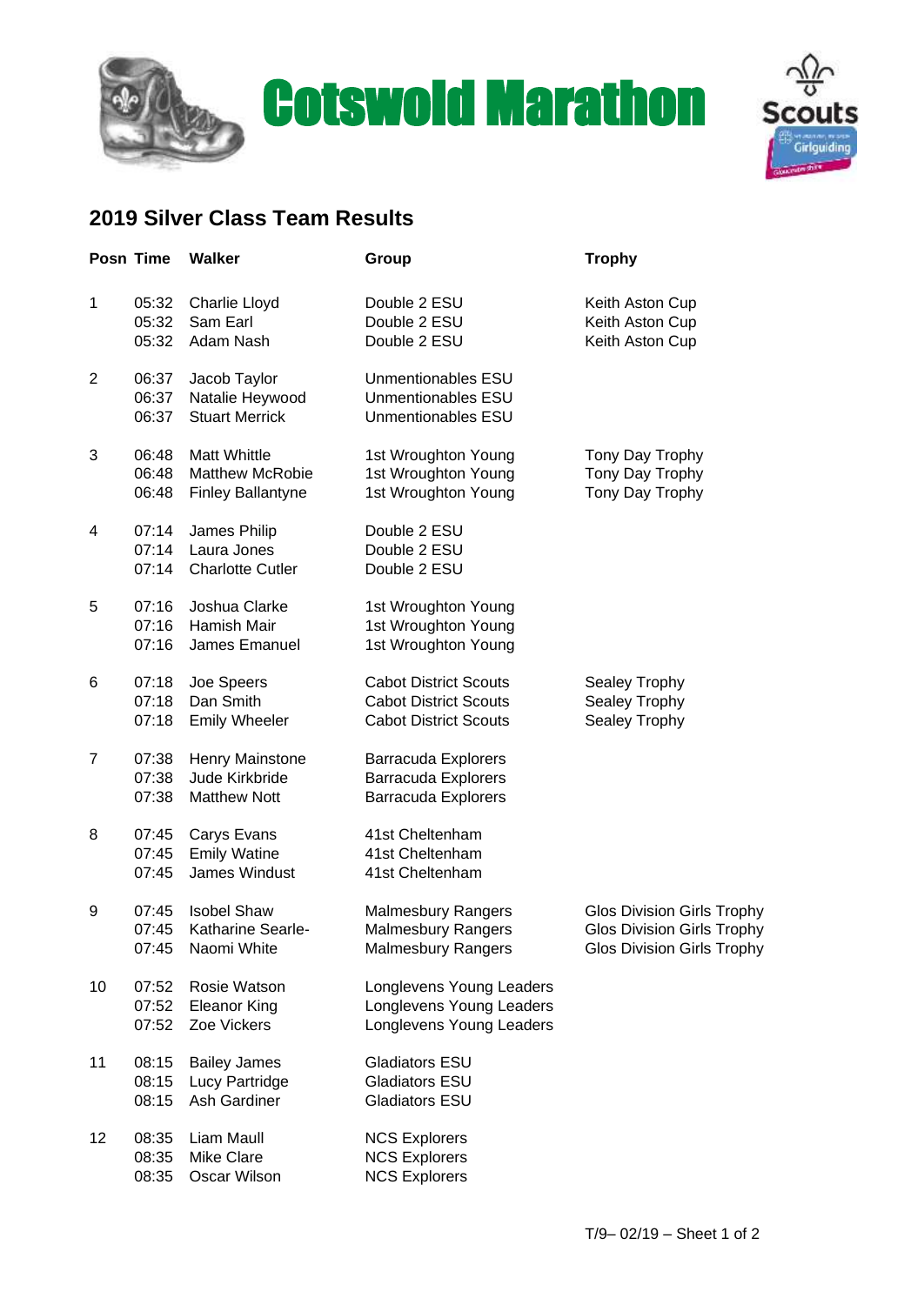





## **2019 Silver Class Team Results**

|                | Posn Time               | <b>Walker</b>                                                             | Group                                                                                        | <b>Trophy</b>                                                                                               |
|----------------|-------------------------|---------------------------------------------------------------------------|----------------------------------------------------------------------------------------------|-------------------------------------------------------------------------------------------------------------|
| 1              | 05:32<br>05:32<br>05:32 | Charlie Lloyd<br>Sam Earl<br>Adam Nash                                    | Double 2 ESU<br>Double 2 ESU<br>Double 2 ESU                                                 | Keith Aston Cup<br>Keith Aston Cup<br>Keith Aston Cup                                                       |
| $\overline{2}$ | 06:37<br>06:37<br>06:37 | Jacob Taylor<br>Natalie Heywood<br><b>Stuart Merrick</b>                  | Unmentionables ESU<br>Unmentionables ESU<br>Unmentionables ESU                               |                                                                                                             |
| 3              | 06:48<br>06:48<br>06:48 | <b>Matt Whittle</b><br><b>Matthew McRobie</b><br><b>Finley Ballantyne</b> | 1st Wroughton Young<br>1st Wroughton Young<br>1st Wroughton Young                            | Tony Day Trophy<br>Tony Day Trophy<br>Tony Day Trophy                                                       |
| 4              | 07:14<br>07:14<br>07:14 | James Philip<br>Laura Jones<br><b>Charlotte Cutler</b>                    | Double 2 ESU<br>Double 2 ESU<br>Double 2 ESU                                                 |                                                                                                             |
| 5              | 07:16<br>07:16<br>07:16 | Joshua Clarke<br>Hamish Mair<br>James Emanuel                             | 1st Wroughton Young<br>1st Wroughton Young<br>1st Wroughton Young                            |                                                                                                             |
| 6              | 07:18<br>07:18<br>07:18 | Joe Speers<br>Dan Smith<br><b>Emily Wheeler</b>                           | <b>Cabot District Scouts</b><br><b>Cabot District Scouts</b><br><b>Cabot District Scouts</b> | Sealey Trophy<br>Sealey Trophy<br>Sealey Trophy                                                             |
| $\overline{7}$ | 07:38<br>07:38<br>07:38 | Henry Mainstone<br>Jude Kirkbride<br><b>Matthew Nott</b>                  | <b>Barracuda Explorers</b><br><b>Barracuda Explorers</b><br><b>Barracuda Explorers</b>       |                                                                                                             |
| 8              | 07:45<br>07:45<br>07:45 | Carys Evans<br><b>Emily Watine</b><br>James Windust                       | 41st Cheltenham<br>41st Cheltenham<br>41st Cheltenham                                        |                                                                                                             |
| 9              | 07:45<br>07:45<br>07:45 | <b>Isobel Shaw</b><br>Katharine Searle-<br>Naomi White                    | <b>Malmesbury Rangers</b><br><b>Malmesbury Rangers</b><br><b>Malmesbury Rangers</b>          | <b>Glos Division Girls Trophy</b><br><b>Glos Division Girls Trophy</b><br><b>Glos Division Girls Trophy</b> |
| 10             | 07:52<br>07:52<br>07:52 | Rosie Watson<br><b>Eleanor King</b><br>Zoe Vickers                        | Longlevens Young Leaders<br>Longlevens Young Leaders<br>Longlevens Young Leaders             |                                                                                                             |
| 11             | 08:15<br>08:15<br>08:15 | <b>Bailey James</b><br>Lucy Partridge<br>Ash Gardiner                     | <b>Gladiators ESU</b><br><b>Gladiators ESU</b><br><b>Gladiators ESU</b>                      |                                                                                                             |
| 12             | 08:35<br>08:35<br>08:35 | Liam Maull<br><b>Mike Clare</b><br>Oscar Wilson                           | <b>NCS Explorers</b><br><b>NCS Explorers</b><br><b>NCS Explorers</b>                         |                                                                                                             |